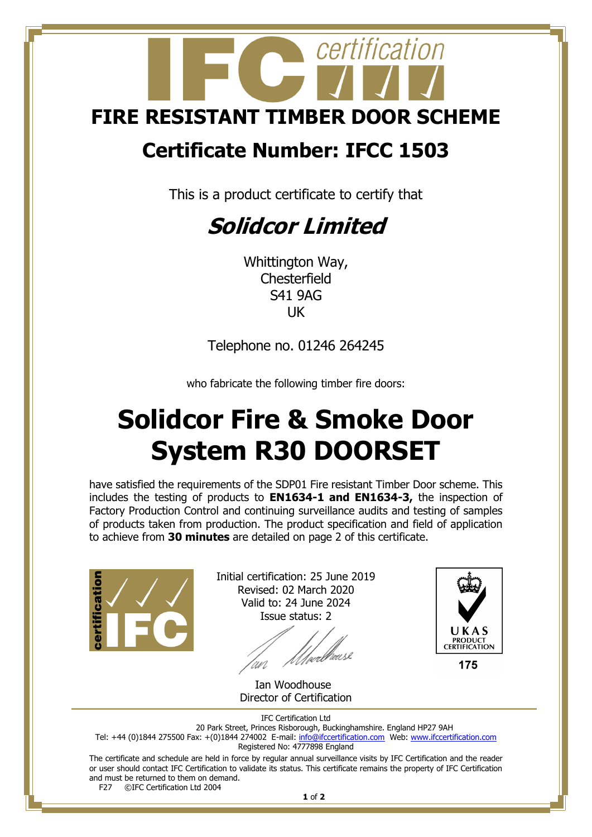

## **Certificate Number: IFCC 1503**

This is a product certificate to certify that

## **Solidcor Limited**

Whittington Way, **Chesterfield** S41 9AG UK

Telephone no. 01246 264245

who fabricate the following timber fire doors:

## **Solidcor Fire & Smoke Door System R30 DOORSET**

have satisfied the requirements of the SDP01 Fire resistant Timber Door scheme. This includes the testing of products to **EN1634-1 and EN1634-3,** the inspection of Factory Production Control and continuing surveillance audits and testing of samples of products taken from production. The product specification and field of application to achieve from **30 minutes** are detailed on page 2 of this certificate.



Initial certification: 25 June 2019 Revised: 02 March 2020 Valid to: 24 June 2024 Issue status: 2

'an

 Ian Woodhouse Director of Certification



175

IFC Certification Ltd

20 Park Street, Princes Risborough, Buckinghamshire. England HP27 9AH Tel: +44 (0)1844 275500 Fax: +(0)1844 274002 E-mail: <u>info@ifccertification.com</u> Web: [www.ifccertification.com](http://www.ifccertification.com/) Registered No: 4777898 England

The certificate and schedule are held in force by regular annual surveillance visits by IFC Certification and the reader or user should contact IFC Certification to validate its status. This certificate remains the property of IFC Certification and must be returned to them on demand.<br>F27  $\odot$  FC Certification Ltd 2004 ©IFC Certification Ltd 2004